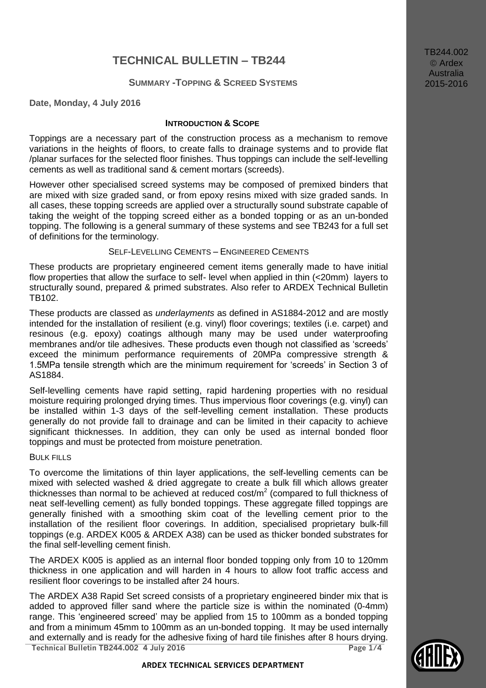# **TECHNICAL BULLETIN – TB244**

# **SUMMARY -TOPPING & SCREED SYSTEMS**

**Date, Monday, 4 July 2016**

#### **INTRODUCTION & SCOPE**

Toppings are a necessary part of the construction process as a mechanism to remove variations in the heights of floors, to create falls to drainage systems and to provide flat /planar surfaces for the selected floor finishes. Thus toppings can include the self-levelling cements as well as traditional sand & cement mortars (screeds).

However other specialised screed systems may be composed of premixed binders that are mixed with size graded sand, or from epoxy resins mixed with size graded sands. In all cases, these topping screeds are applied over a structurally sound substrate capable of taking the weight of the topping screed either as a bonded topping or as an un-bonded topping. The following is a general summary of these systems and see TB243 for a full set of definitions for the terminology.

#### SELF-LEVELLING CEMENTS – ENGINEERED CEMENTS

These products are proprietary engineered cement items generally made to have initial flow properties that allow the surface to self- level when applied in thin (<20mm) layers to structurally sound, prepared & primed substrates. Also refer to ARDEX Technical Bulletin TB102.

These products are classed as *underlayments* as defined in AS1884-2012 and are mostly intended for the installation of resilient (e.g. vinyl) floor coverings; textiles (i.e. carpet) and resinous (e.g. epoxy) coatings although many may be used under waterproofing membranes and/or tile adhesives. These products even though not classified as 'screeds' exceed the minimum performance requirements of 20MPa compressive strength & 1.5MPa tensile strength which are the minimum requirement for 'screeds' in Section 3 of AS1884.

Self-levelling cements have rapid setting, rapid hardening properties with no residual moisture requiring prolonged drying times. Thus impervious floor coverings (e.g. vinyl) can be installed within 1-3 days of the self-levelling cement installation. These products generally do not provide fall to drainage and can be limited in their capacity to achieve significant thicknesses. In addition, they can only be used as internal bonded floor toppings and must be protected from moisture penetration.

#### BULK FILLS

To overcome the limitations of thin layer applications, the self-levelling cements can be mixed with selected washed & dried aggregate to create a bulk fill which allows greater thicknesses than normal to be achieved at reduced cost/ $m^2$  (compared to full thickness of neat self-levelling cement) as fully bonded toppings. These aggregate filled toppings are generally finished with a smoothing skim coat of the levelling cement prior to the installation of the resilient floor coverings. In addition, specialised proprietary bulk-fill toppings (e.g. ARDEX K005 & ARDEX A38) can be used as thicker bonded substrates for the final self-levelling cement finish.

The ARDEX K005 is applied as an internal floor bonded topping only from 10 to 120mm thickness in one application and will harden in 4 hours to allow foot traffic access and resilient floor coverings to be installed after 24 hours.

**Technical Bulletin TB244.002 4 July 2016 Page 1/4** The ARDEX A38 Rapid Set screed consists of a proprietary engineered binder mix that is added to approved filler sand where the particle size is within the nominated (0-4mm) range. This 'engineered screed' may be applied from 15 to 100mm as a bonded topping and from a minimum 45mm to 100mm as an un-bonded topping. It may be used internally and externally and is ready for the adhesive fixing of hard tile finishes after 8 hours drying. TB244.002 Ardex **Australia** 2015-2016

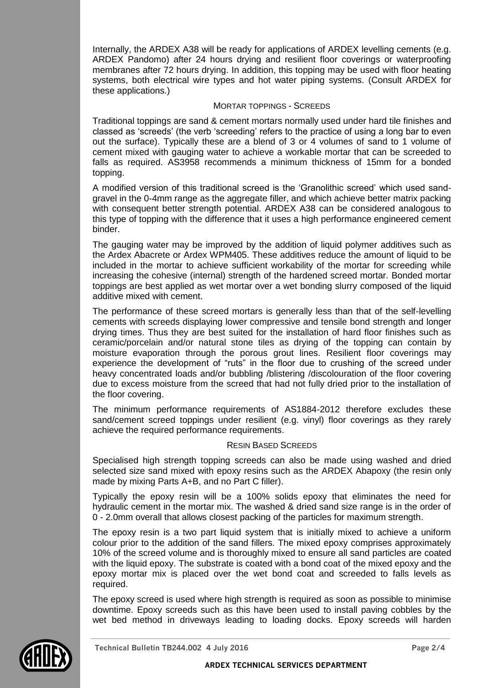Internally, the ARDEX A38 will be ready for applications of ARDEX levelling cements (e.g. ARDEX Pandomo) after 24 hours drying and resilient floor coverings or waterproofing membranes after 72 hours drying. In addition, this topping may be used with floor heating systems, both electrical wire types and hot water piping systems. (Consult ARDEX for these applications.)

# MORTAR TOPPINGS - SCREEDS

Traditional toppings are sand & cement mortars normally used under hard tile finishes and classed as 'screeds' (the verb 'screeding' refers to the practice of using a long bar to even out the surface). Typically these are a blend of 3 or 4 volumes of sand to 1 volume of cement mixed with gauging water to achieve a workable mortar that can be screeded to falls as required. AS3958 recommends a minimum thickness of 15mm for a bonded topping.

A modified version of this traditional screed is the 'Granolithic screed' which used sandgravel in the 0-4mm range as the aggregate filler, and which achieve better matrix packing with consequent better strength potential. ARDEX A38 can be considered analogous to this type of topping with the difference that it uses a high performance engineered cement binder.

The gauging water may be improved by the addition of liquid polymer additives such as the Ardex Abacrete or Ardex WPM405. These additives reduce the amount of liquid to be included in the mortar to achieve sufficient workability of the mortar for screeding while increasing the cohesive (internal) strength of the hardened screed mortar. Bonded mortar toppings are best applied as wet mortar over a wet bonding slurry composed of the liquid additive mixed with cement.

The performance of these screed mortars is generally less than that of the self-levelling cements with screeds displaying lower compressive and tensile bond strength and longer drying times. Thus they are best suited for the installation of hard floor finishes such as ceramic/porcelain and/or natural stone tiles as drying of the topping can contain by moisture evaporation through the porous grout lines. Resilient floor coverings may experience the development of "ruts" in the floor due to crushing of the screed under heavy concentrated loads and/or bubbling /blistering /discolouration of the floor covering due to excess moisture from the screed that had not fully dried prior to the installation of the floor covering.

The minimum performance requirements of AS1884-2012 therefore excludes these sand/cement screed toppings under resilient (e.g. vinyl) floor coverings as they rarely achieve the required performance requirements.

# RESIN BASED SCREEDS

Specialised high strength topping screeds can also be made using washed and dried selected size sand mixed with epoxy resins such as the ARDEX Abapoxy (the resin only made by mixing Parts A+B, and no Part C filler).

Typically the epoxy resin will be a 100% solids epoxy that eliminates the need for hydraulic cement in the mortar mix. The washed & dried sand size range is in the order of 0 - 2.0mm overall that allows closest packing of the particles for maximum strength.

The epoxy resin is a two part liquid system that is initially mixed to achieve a uniform colour prior to the addition of the sand fillers. The mixed epoxy comprises approximately 10% of the screed volume and is thoroughly mixed to ensure all sand particles are coated with the liquid epoxy. The substrate is coated with a bond coat of the mixed epoxy and the epoxy mortar mix is placed over the wet bond coat and screeded to falls levels as required.

The epoxy screed is used where high strength is required as soon as possible to minimise downtime. Epoxy screeds such as this have been used to install paving cobbles by the wet bed method in driveways leading to loading docks. Epoxy screeds will harden

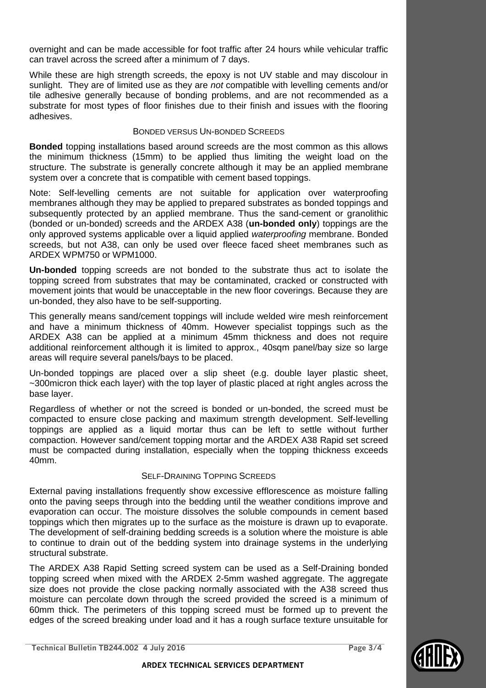overnight and can be made accessible for foot traffic after 24 hours while vehicular traffic can travel across the screed after a minimum of 7 days.

While these are high strength screeds, the epoxy is not UV stable and may discolour in sunlight. They are of limited use as they are *not* compatible with levelling cements and/or tile adhesive generally because of bonding problems, and are not recommended as a substrate for most types of floor finishes due to their finish and issues with the flooring adhesives.

# BONDED VERSUS UN-BONDED SCREEDS

**Bonded** topping installations based around screeds are the most common as this allows the minimum thickness (15mm) to be applied thus limiting the weight load on the structure. The substrate is generally concrete although it may be an applied membrane system over a concrete that is compatible with cement based toppings.

Note: Self-levelling cements are not suitable for application over waterproofing membranes although they may be applied to prepared substrates as bonded toppings and subsequently protected by an applied membrane. Thus the sand-cement or granolithic (bonded or un-bonded) screeds and the ARDEX A38 (**un-bonded only**) toppings are the only approved systems applicable over a liquid applied *waterproofing* membrane. Bonded screeds, but not A38, can only be used over fleece faced sheet membranes such as ARDEX WPM750 or WPM1000.

**Un-bonded** topping screeds are not bonded to the substrate thus act to isolate the topping screed from substrates that may be contaminated, cracked or constructed with movement joints that would be unacceptable in the new floor coverings. Because they are un-bonded, they also have to be self-supporting.

This generally means sand/cement toppings will include welded wire mesh reinforcement and have a minimum thickness of 40mm. However specialist toppings such as the ARDEX A38 can be applied at a minimum 45mm thickness and does not require additional reinforcement although it is limited to approx., 40sqm panel/bay size so large areas will require several panels/bays to be placed.

Un-bonded toppings are placed over a slip sheet (e.g. double layer plastic sheet, ~300micron thick each layer) with the top layer of plastic placed at right angles across the base layer.

Regardless of whether or not the screed is bonded or un-bonded, the screed must be compacted to ensure close packing and maximum strength development. Self-levelling toppings are applied as a liquid mortar thus can be left to settle without further compaction. However sand/cement topping mortar and the ARDEX A38 Rapid set screed must be compacted during installation, especially when the topping thickness exceeds 40mm.

# SELF-DRAINING TOPPING SCREEDS

External paving installations frequently show excessive efflorescence as moisture falling onto the paving seeps through into the bedding until the weather conditions improve and evaporation can occur. The moisture dissolves the soluble compounds in cement based toppings which then migrates up to the surface as the moisture is drawn up to evaporate. The development of self-draining bedding screeds is a solution where the moisture is able to continue to drain out of the bedding system into drainage systems in the underlying structural substrate.

The ARDEX A38 Rapid Setting screed system can be used as a Self-Draining bonded topping screed when mixed with the ARDEX 2-5mm washed aggregate. The aggregate size does not provide the close packing normally associated with the A38 screed thus moisture can percolate down through the screed provided the screed is a minimum of 60mm thick. The perimeters of this topping screed must be formed up to prevent the edges of the screed breaking under load and it has a rough surface texture unsuitable for



 **ARDEX TECHNICAL SERVICES DEPARTMENT**